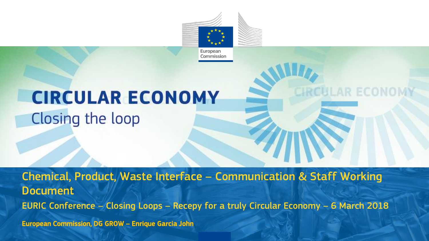

**CIRCULAR EX** 

**Economy Report** 

# **CIRCULAR ECONOMY** Closing the loop

Chemical, Product, Waste Interface – Communication & Staff Working Document EURIC Conference – Closing Loops – Recepy for a truly Circular Economy – 6 March 2018 European Commission, DG GROW – Enrique Garcia John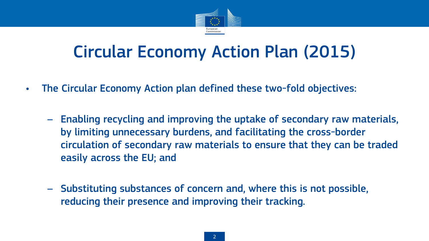

## Circular Economy Action Plan (2015)

- The Circular Economy Action plan defined these two-fold objectives:
	- Enabling recycling and improving the uptake of secondary raw materials, by limiting unnecessary burdens, and facilitating the cross-border circulation of secondary raw materials to ensure that they can be traded easily across the EU; and
	- Substituting substances of concern and, where this is not possible, reducing their presence and improving their tracking.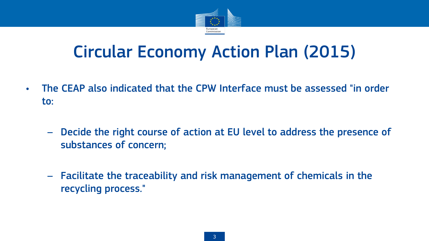

## Circular Economy Action Plan (2015)

- The CEAP also indicated that the CPW Interface must be assessed "in order to:
	- Decide the right course of action at EU level to address the presence of substances of concern;
	- Facilitate the traceability and risk management of chemicals in the recycling process."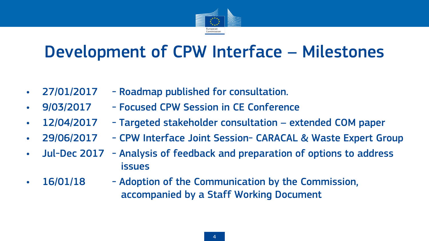

# Development of CPW Interface – Milestones

- 27/01/2017 Roadmap published for consultation.
- 9/03/2017 Focused CPW Session in CE Conference
- 12/04/2017 Targeted stakeholder consultation extended COM paper
- 29/06/2017 CPW Interface Joint Session- CARACAL & Waste Expert Group
- Jul-Dec 2017 Analysis of feedback and preparation of options to address issues
- 16/01/18 Adoption of the Communication by the Commission, accompanied by a Staff Working Document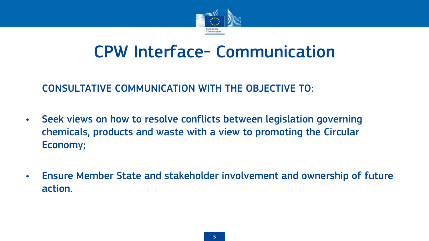

### CPW Interface- Communication

#### - CONSULTATIVE COMMUNICATION WITH THE OBJECTIVE TO:

- Seek views on how to resolve conflicts between legislation governing chemicals, products and waste with a view to promoting the Circular Economy;
- Ensure Member State and stakeholder involvement and ownership of future action.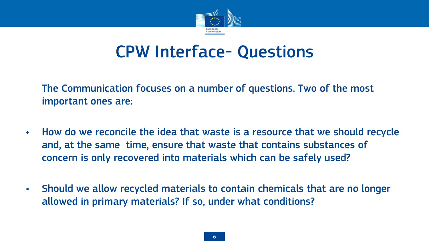

### CPW Interface- Questions

The Communication focuses on a number of questions. Two of the most important ones are:

- How do we reconcile the idea that waste is a resource that we should recycle and, at the same time, ensure that waste that contains substances of concern is only recovered into materials which can be safely used?
- Should we allow recycled materials to contain chemicals that are no longer allowed in primary materials? If so, under what conditions?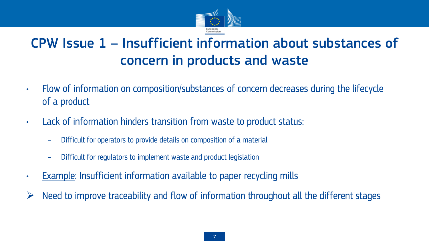

### CPW Issue 1 – Insufficient information about substances of concern in products and waste

- Flow of information on composition/substances of concern decreases during the lifecycle of a product
- Lack of information hinders transition from waste to product status:
	- Difficult for operators to provide details on composition of a material
	- Difficult for regulators to implement waste and product legislation
- Example: Insufficient information available to paper recycling mills
- Need to improve traceability and flow of information throughout all the different stages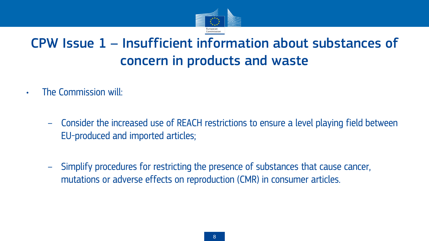

### CPW Issue 1 – Insufficient information about substances of concern in products and waste

- The Commission will:
	- Consider the increased use of REACH restrictions to ensure a level playing field between EU-produced and imported articles;
	- Simplify procedures for restricting the presence of substances that cause cancer, mutations or adverse effects on reproduction (CMR) in consumer articles.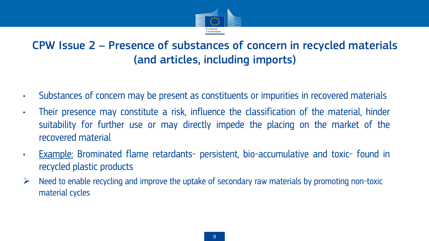

### CPW Issue 2 – Presence of substances of concern in recycled materials (and articles, including imports)

- Substances of concern may be present as constituents or impurities in recovered materials
- Their presence may constitute a risk, influence the classification of the material, hinder suitability for further use or may directly impede the placing on the market of the recovered material
- Example: Brominated flame retardants- persistent, bio-accumulative and toxic- found in recycled plastic products
- $\triangleright$  Need to enable recycling and improve the uptake of secondary raw materials by promoting non-toxic material cycles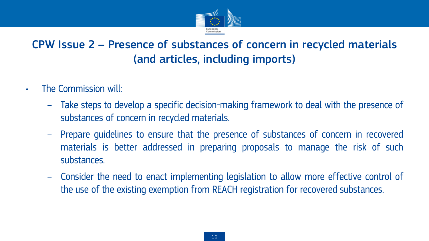

### CPW Issue 2 – Presence of substances of concern in recycled materials (and articles, including imports)

- The Commission will:
	- Take steps to develop a specific decision-making framework to deal with the presence of substances of concern in recycled materials.
	- Prepare guidelines to ensure that the presence of substances of concern in recovered materials is better addressed in preparing proposals to manage the risk of such substances.
	- Consider the need to enact implementing legislation to allow more effective control of the use of the existing exemption from REACH registration for recovered substances.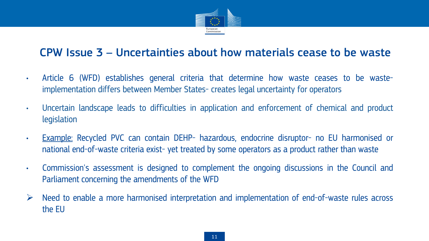

#### CPW Issue 3 – Uncertainties about how materials cease to be waste

- Article 6 (WFD) establishes general criteria that determine how waste ceases to be wasteimplementation differs between Member States- creates legal uncertainty for operators
- Uncertain landscape leads to difficulties in application and enforcement of chemical and product legislation
- Example: Recycled PVC can contain DEHP- hazardous, endocrine disruptor- no EU harmonised or national end-of-waste criteria exist- yet treated by some operators as a product rather than waste
- Commission's assessment is designed to complement the ongoing discussions in the Council and Parliament concerning the amendments of the WFD
- $\triangleright$  Need to enable a more harmonised interpretation and implementation of end-of-waste rules across the EU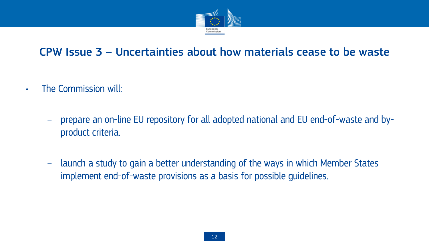

#### CPW Issue 3 – Uncertainties about how materials cease to be waste

- The Commission will:
	- prepare an on-line EU repository for all adopted national and EU end-of-waste and byproduct criteria.
	- launch a study to gain a better understanding of the ways in which Member States implement end-of-waste provisions as a basis for possible guidelines.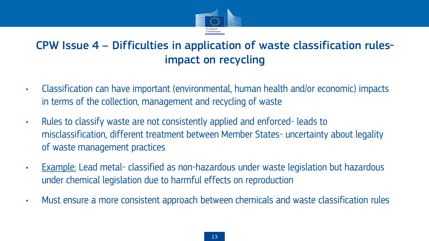

### CPW Issue 4 – Difficulties in application of waste classification rulesimpact on recycling

- Classification can have important (environmental, human health and/or economic) impacts in terms of the collection, management and recycling of waste
- Rules to classify waste are not consistently applied and enforced- leads to misclassification, different treatment between Member States- uncertainty about legality of waste management practices
- Example: Lead metal- classified as non-hazardous under waste legislation but hazardous under chemical legislation due to harmful effects on reproduction
- Must ensure a more consistent approach between chemicals and waste classification rules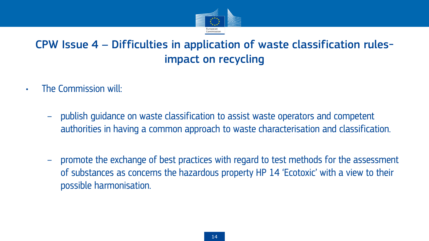

### CPW Issue 4 – Difficulties in application of waste classification rulesimpact on recycling

- The Commission will:
	- publish guidance on waste classification to assist waste operators and competent authorities in having a common approach to waste characterisation and classification.
	- promote the exchange of best practices with regard to test methods for the assessment of substances as concerns the hazardous property HP 14 'Ecotoxic' with a view to their possible harmonisation.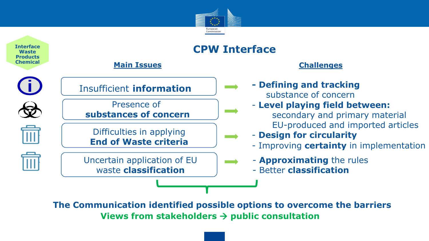



**The Communication identified possible options to overcome the barriers Views from stakeholders public consultation**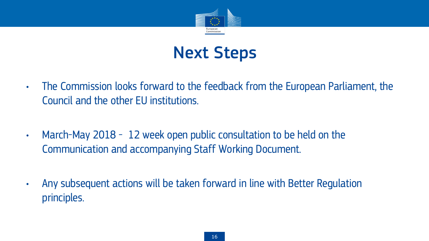

## Next Steps

- The Commission looks forward to the feedback from the European Parliament, the Council and the other EU institutions.
- March-May 2018 12 week open public consultation to be held on the Communication and accompanying Staff Working Document.
- Any subsequent actions will be taken forward in line with Better Regulation principles.